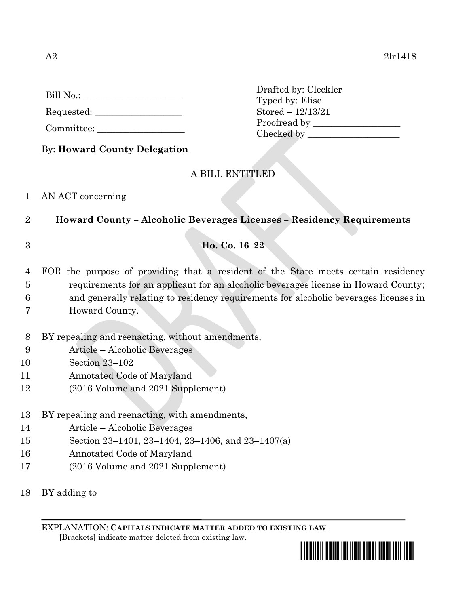Requested: \_\_\_\_\_\_\_\_\_\_\_\_\_\_\_\_\_\_\_

Committee:

Drafted by: Cleckler Typed by: Elise Stored – 12/13/21 Proofread by Checked by \_\_\_\_\_\_\_\_\_\_\_\_\_\_\_\_\_\_\_\_

By: **Howard County Delegation**

# A BILL ENTITLED

### 1 AN ACT concerning

- 2 **Howard County – Alcoholic Beverages Licenses – Residency Requirements**
- 

## 3 **Ho. Co. 16–22**

4 FOR the purpose of providing that a resident of the State meets certain residency 5 requirements for an applicant for an alcoholic beverages license in Howard County; 6 and generally relating to residency requirements for alcoholic beverages licenses in

- 7 Howard County.
- 8 BY repealing and reenacting, without amendments,
- 9 Article Alcoholic Beverages
- 10 Section 23–102
- 11 Annotated Code of Maryland
- 12 (2016 Volume and 2021 Supplement)
- 13 BY repealing and reenacting, with amendments,
- 14 Article Alcoholic Beverages
- 15 Section 23–1401, 23–1404, 23–1406, and 23–1407(a)
- 16 Annotated Code of Maryland
- 17 (2016 Volume and 2021 Supplement)
- 18 BY adding to

EXPLANATION: **CAPITALS INDICATE MATTER ADDED TO EXISTING LAW**.  **[**Brackets**]** indicate matter deleted from existing law.

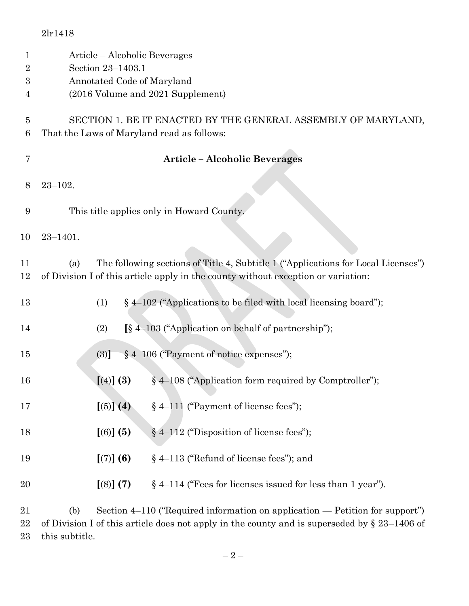|                                         | 2lr1418                                                                                                                                                                       |
|-----------------------------------------|-------------------------------------------------------------------------------------------------------------------------------------------------------------------------------|
| $\mathbf 1$<br>$\overline{2}$<br>3<br>4 | Article – Alcoholic Beverages<br>Section 23-1403.1<br>Annotated Code of Maryland<br>(2016 Volume and 2021 Supplement)                                                         |
| 5<br>6                                  | SECTION 1. BE IT ENACTED BY THE GENERAL ASSEMBLY OF MARYLAND,<br>That the Laws of Maryland read as follows:                                                                   |
| 7                                       | <b>Article - Alcoholic Beverages</b>                                                                                                                                          |
| 8                                       | $23 - 102.$                                                                                                                                                                   |
| 9                                       | This title applies only in Howard County.                                                                                                                                     |
| 10                                      | $23 - 1401.$                                                                                                                                                                  |
| 11<br>12                                | The following sections of Title 4, Subtitle 1 ("Applications for Local Licenses")<br>(a)<br>of Division I of this article apply in the county without exception or variation: |
| 13                                      | $\S$ 4–102 ("Applications to be filed with local licensing board");<br>(1)                                                                                                    |
| 14                                      | [§ 4-103 ("Application on behalf of partnership");<br>(2)                                                                                                                     |
| 15                                      | § 4-106 ("Payment of notice expenses");<br>(3)]                                                                                                                               |
| 16                                      | [(4)] (3)<br>§ 4–108 ("Application form required by Comptroller");                                                                                                            |
| 17                                      | $\left[\left(5\right)\right]\left(4\right)$<br>§ 4-111 ("Payment of license fees");                                                                                           |
| 18                                      | $[(6)]$ (5)<br>$§$ 4–112 ("Disposition of license fees");                                                                                                                     |
| 19                                      | [(7)] (6)<br>§ 4–113 ("Refund of license fees"); and                                                                                                                          |
| 20                                      | [(8)] (7)<br>$\S$ 4–114 ("Fees for licenses issued for less than 1 year").                                                                                                    |
| ุก 1                                    | $\frac{1}{2}$ Costian 4, 110 ( $\frac{1}{2}$ Cosming information on emplication $\frac{1}{2}$ Detition for supposed)                                                          |

 (b) Section 4–110 ("Required information on application — Petition for support") of Division I of this article does not apply in the county and is superseded by § 23–1406 of this subtitle.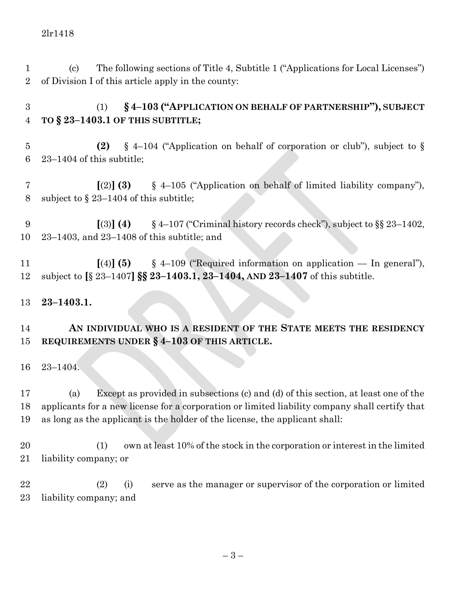(c) The following sections of Title 4, Subtitle 1 ("Applications for Local Licenses") of Division I of this article apply in the county:

 (1) **§ 4–103 ("APPLICATION ON BEHALF OF PARTNERSHIP"), SUBJECT TO § 23–1403.1 OF THIS SUBTITLE;**

 **(2)** § 4–104 ("Application on behalf of corporation or club"), subject to § 23–1404 of this subtitle;

 **[**(2)**] (3)** § 4–105 ("Application on behalf of limited liability company"), subject to § 23–1404 of this subtitle;

 **[**(3)**] (4)** § 4–107 ("Criminal history records check"), subject to §§ 23–1402, 23–1403, and 23–1408 of this subtitle; and

 **[**(4)**] (5)** § 4–109 ("Required information on application — In general"), subject to **[**§ 23–1407**] §§ 23–1403.1, 23–1404, AND 23–1407** of this subtitle.

### **23–1403.1.**

#### **AN INDIVIDUAL WHO IS A RESIDENT OF THE STATE MEETS THE RESIDENCY REQUIREMENTS UNDER § 4–103 OF THIS ARTICLE.**

23–1404.

 (a) Except as provided in subsections (c) and (d) of this section, at least one of the applicants for a new license for a corporation or limited liability company shall certify that as long as the applicant is the holder of the license, the applicant shall:

 (1) own at least 10% of the stock in the corporation or interest in the limited liability company; or

 (2) (i) serve as the manager or supervisor of the corporation or limited liability company; and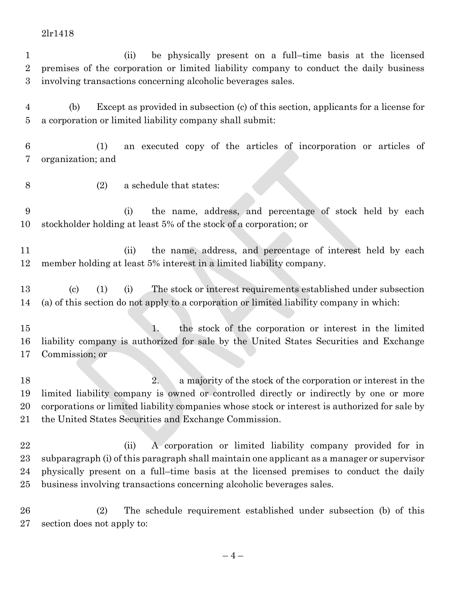#### 2lr1418

 (ii) be physically present on a full–time basis at the licensed premises of the corporation or limited liability company to conduct the daily business involving transactions concerning alcoholic beverages sales.

 (b) Except as provided in subsection (c) of this section, applicants for a license for a corporation or limited liability company shall submit:

 (1) an executed copy of the articles of incorporation or articles of organization; and

- 
- (2) a schedule that states:

 (i) the name, address, and percentage of stock held by each stockholder holding at least 5% of the stock of a corporation; or

 (ii) the name, address, and percentage of interest held by each member holding at least 5% interest in a limited liability company.

 (c) (1) (i) The stock or interest requirements established under subsection (a) of this section do not apply to a corporation or limited liability company in which:

 1. the stock of the corporation or interest in the limited liability company is authorized for sale by the United States Securities and Exchange Commission; or

18 2. a majority of the stock of the corporation or interest in the limited liability company is owned or controlled directly or indirectly by one or more corporations or limited liability companies whose stock or interest is authorized for sale by the United States Securities and Exchange Commission.

 (ii) A corporation or limited liability company provided for in subparagraph (i) of this paragraph shall maintain one applicant as a manager or supervisor physically present on a full–time basis at the licensed premises to conduct the daily business involving transactions concerning alcoholic beverages sales.

 (2) The schedule requirement established under subsection (b) of this section does not apply to: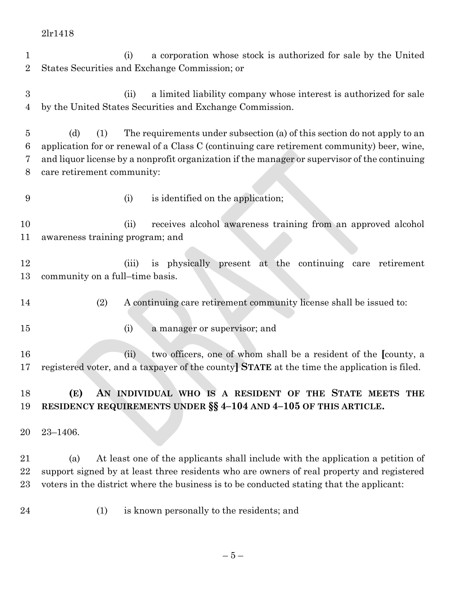(i) a corporation whose stock is authorized for sale by the United States Securities and Exchange Commission; or (ii) a limited liability company whose interest is authorized for sale by the United States Securities and Exchange Commission. (d) (1) The requirements under subsection (a) of this section do not apply to an application for or renewal of a Class C (continuing care retirement community) beer, wine, and liquor license by a nonprofit organization if the manager or supervisor of the continuing care retirement community: (i) is identified on the application; (ii) receives alcohol awareness training from an approved alcohol awareness training program; and (iii) is physically present at the continuing care retirement community on a full–time basis. (2) A continuing care retirement community license shall be issued to: 15 (i) a manager or supervisor; and (ii) two officers, one of whom shall be a resident of the **[**county, a registered voter, and a taxpayer of the county**] STATE** at the time the application is filed. **(E) AN INDIVIDUAL WHO IS A RESIDENT OF THE STATE MEETS THE RESIDENCY REQUIREMENTS UNDER §§ 4–104 AND 4–105 OF THIS ARTICLE.** 23–1406. (a) At least one of the applicants shall include with the application a petition of support signed by at least three residents who are owners of real property and registered voters in the district where the business is to be conducted stating that the applicant: (1) is known personally to the residents; and